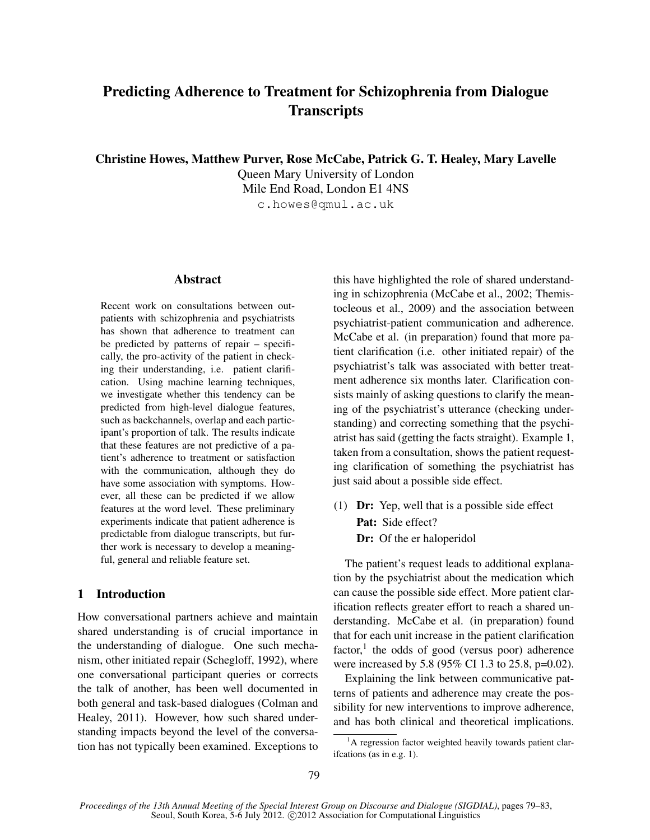# Predicting Adherence to Treatment for Schizophrenia from Dialogue **Transcripts**

Christine Howes, Matthew Purver, Rose McCabe, Patrick G. T. Healey, Mary Lavelle

Queen Mary University of London Mile End Road, London E1 4NS c.howes@qmul.ac.uk

# Abstract

Recent work on consultations between outpatients with schizophrenia and psychiatrists has shown that adherence to treatment can be predicted by patterns of repair – specifically, the pro-activity of the patient in checking their understanding, i.e. patient clarification. Using machine learning techniques, we investigate whether this tendency can be predicted from high-level dialogue features, such as backchannels, overlap and each participant's proportion of talk. The results indicate that these features are not predictive of a patient's adherence to treatment or satisfaction with the communication, although they do have some association with symptoms. However, all these can be predicted if we allow features at the word level. These preliminary experiments indicate that patient adherence is predictable from dialogue transcripts, but further work is necessary to develop a meaningful, general and reliable feature set.

# 1 Introduction

How conversational partners achieve and maintain shared understanding is of crucial importance in the understanding of dialogue. One such mechanism, other initiated repair (Schegloff, 1992), where one conversational participant queries or corrects the talk of another, has been well documented in both general and task-based dialogues (Colman and Healey, 2011). However, how such shared understanding impacts beyond the level of the conversation has not typically been examined. Exceptions to

this have highlighted the role of shared understanding in schizophrenia (McCabe et al., 2002; Themistocleous et al., 2009) and the association between psychiatrist-patient communication and adherence. McCabe et al. (in preparation) found that more patient clarification (i.e. other initiated repair) of the psychiatrist's talk was associated with better treatment adherence six months later. Clarification consists mainly of asking questions to clarify the meaning of the psychiatrist's utterance (checking understanding) and correcting something that the psychiatrist has said (getting the facts straight). Example 1, taken from a consultation, shows the patient requesting clarification of something the psychiatrist has just said about a possible side effect.

(1) Dr: Yep, well that is a possible side effect Pat: Side effect? Dr: Of the er haloperidol

The patient's request leads to additional explanation by the psychiatrist about the medication which can cause the possible side effect. More patient clarification reflects greater effort to reach a shared understanding. McCabe et al. (in preparation) found that for each unit increase in the patient clarification factor,<sup>1</sup> the odds of good (versus poor) adherence were increased by 5.8 (95% CI 1.3 to 25.8, p=0.02).

Explaining the link between communicative patterns of patients and adherence may create the possibility for new interventions to improve adherence, and has both clinical and theoretical implications.

<sup>&</sup>lt;sup>1</sup>A regression factor weighted heavily towards patient clarifcations (as in e.g. 1).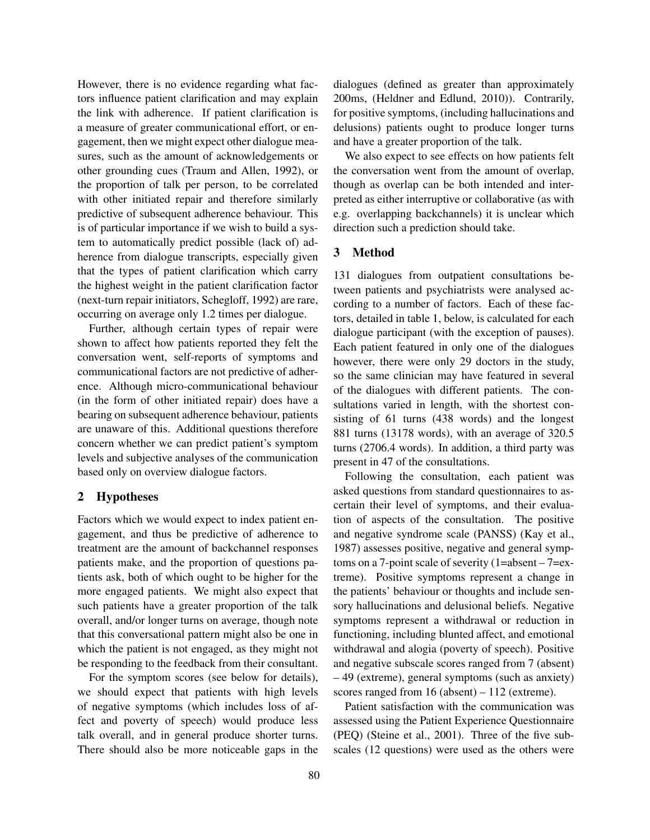However, there is no evidence regarding what factors influence patient clarification and may explain the link with adherence. If patient clarification is a measure of greater communicational effort, or engagement, then we might expect other dialogue measures, such as the amount of acknowledgements or other grounding cues (Traum and Allen, 1992), or the proportion of talk per person, to be correlated with other initiated repair and therefore similarly predictive of subsequent adherence behaviour. This is of particular importance if we wish to build a system to automatically predict possible (lack of) adherence from dialogue transcripts, especially given that the types of patient clarification which carry the highest weight in the patient clarification factor (next-turn repair initiators, Schegloff, 1992) are rare, occurring on average only 1.2 times per dialogue.

Further, although certain types of repair were shown to affect how patients reported they felt the conversation went, self-reports of symptoms and communicational factors are not predictive of adherence. Although micro-communicational behaviour (in the form of other initiated repair) does have a bearing on subsequent adherence behaviour, patients are unaware of this. Additional questions therefore concern whether we can predict patient's symptom levels and subjective analyses of the communication based only on overview dialogue factors.

# 2 Hypotheses

Factors which we would expect to index patient engagement, and thus be predictive of adherence to treatment are the amount of backchannel responses patients make, and the proportion of questions patients ask, both of which ought to be higher for the more engaged patients. We might also expect that such patients have a greater proportion of the talk overall, and/or longer turns on average, though note that this conversational pattern might also be one in which the patient is not engaged, as they might not be responding to the feedback from their consultant.

For the symptom scores (see below for details), we should expect that patients with high levels of negative symptoms (which includes loss of affect and poverty of speech) would produce less talk overall, and in general produce shorter turns. There should also be more noticeable gaps in the dialogues (defined as greater than approximately 200ms, (Heldner and Edlund, 2010)). Contrarily, for positive symptoms, (including hallucinations and delusions) patients ought to produce longer turns and have a greater proportion of the talk.

We also expect to see effects on how patients felt the conversation went from the amount of overlap, though as overlap can be both intended and interpreted as either interruptive or collaborative (as with e.g. overlapping backchannels) it is unclear which direction such a prediction should take.

# 3 Method

131 dialogues from outpatient consultations between patients and psychiatrists were analysed according to a number of factors. Each of these factors, detailed in table 1, below, is calculated for each dialogue participant (with the exception of pauses). Each patient featured in only one of the dialogues however, there were only 29 doctors in the study, so the same clinician may have featured in several of the dialogues with different patients. The consultations varied in length, with the shortest consisting of 61 turns (438 words) and the longest 881 turns (13178 words), with an average of 320.5 turns (2706.4 words). In addition, a third party was present in 47 of the consultations.

Following the consultation, each patient was asked questions from standard questionnaires to ascertain their level of symptoms, and their evaluation of aspects of the consultation. The positive and negative syndrome scale (PANSS) (Kay et al., 1987) assesses positive, negative and general symptoms on a 7-point scale of severity (1=absent – 7=extreme). Positive symptoms represent a change in the patients' behaviour or thoughts and include sensory hallucinations and delusional beliefs. Negative symptoms represent a withdrawal or reduction in functioning, including blunted affect, and emotional withdrawal and alogia (poverty of speech). Positive and negative subscale scores ranged from 7 (absent) – 49 (extreme), general symptoms (such as anxiety) scores ranged from 16 (absent) – 112 (extreme).

Patient satisfaction with the communication was assessed using the Patient Experience Questionnaire (PEQ) (Steine et al., 2001). Three of the five subscales (12 questions) were used as the others were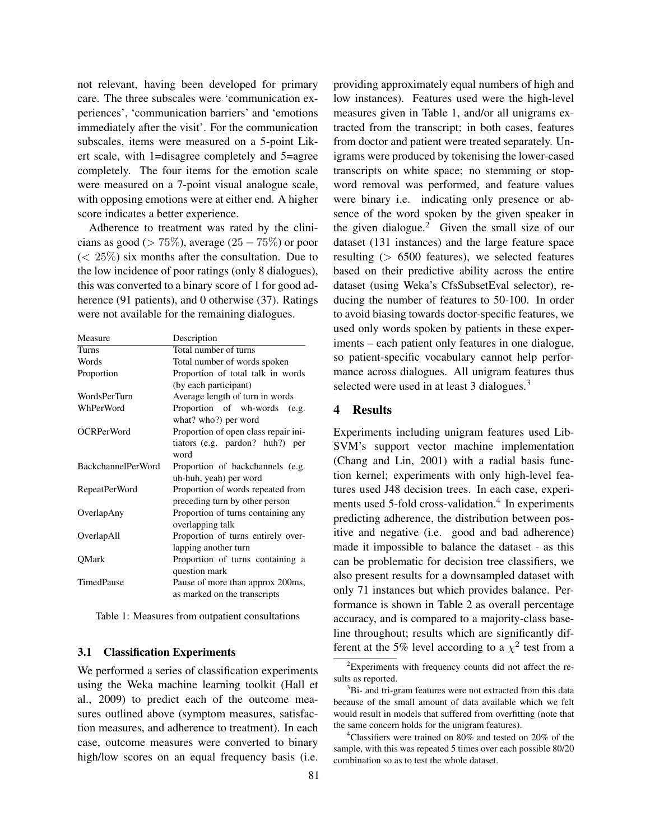not relevant, having been developed for primary care. The three subscales were 'communication experiences', 'communication barriers' and 'emotions immediately after the visit'. For the communication subscales, items were measured on a 5-point Likert scale, with 1=disagree completely and 5=agree completely. The four items for the emotion scale were measured on a 7-point visual analogue scale, with opposing emotions were at either end. A higher score indicates a better experience.

Adherence to treatment was rated by the clinicians as good ( $> 75\%$ ), average (25  $- 75\%$ ) or poor  $(< 25\%)$  six months after the consultation. Due to the low incidence of poor ratings (only 8 dialogues), this was converted to a binary score of 1 for good adherence (91 patients), and 0 otherwise (37). Ratings were not available for the remaining dialogues.

| Measure                   | Description                          |  |  |  |  |
|---------------------------|--------------------------------------|--|--|--|--|
| Turns                     | Total number of turns                |  |  |  |  |
| Words                     | Total number of words spoken         |  |  |  |  |
| Proportion                | Proportion of total talk in words    |  |  |  |  |
|                           | (by each participant)                |  |  |  |  |
| WordsPerTurn              | Average length of turn in words      |  |  |  |  |
| WhPerWord                 | Proportion of wh-words (e.g.         |  |  |  |  |
|                           | what? who?) per word                 |  |  |  |  |
| <b>OCRPerWord</b>         | Proportion of open class repair ini- |  |  |  |  |
|                           | tiators (e.g. pardon? huh?) per      |  |  |  |  |
|                           | word                                 |  |  |  |  |
| <b>BackchannelPerWord</b> | Proportion of backchannels (e.g.     |  |  |  |  |
|                           | uh-huh, yeah) per word               |  |  |  |  |
| RepeatPerWord             | Proportion of words repeated from    |  |  |  |  |
|                           | preceding turn by other person       |  |  |  |  |
| OverlapAny                | Proportion of turns containing any   |  |  |  |  |
|                           | overlapping talk                     |  |  |  |  |
| OverlapAll                | Proportion of turns entirely over-   |  |  |  |  |
|                           | lapping another turn                 |  |  |  |  |
| QMark                     | Proportion of turns containing a     |  |  |  |  |
|                           | question mark                        |  |  |  |  |
| TimedPause                | Pause of more than approx 200ms,     |  |  |  |  |
|                           | as marked on the transcripts         |  |  |  |  |

Table 1: Measures from outpatient consultations

### 3.1 Classification Experiments

We performed a series of classification experiments using the Weka machine learning toolkit (Hall et al., 2009) to predict each of the outcome measures outlined above (symptom measures, satisfaction measures, and adherence to treatment). In each case, outcome measures were converted to binary high/low scores on an equal frequency basis (i.e.

providing approximately equal numbers of high and low instances). Features used were the high-level measures given in Table 1, and/or all unigrams extracted from the transcript; in both cases, features from doctor and patient were treated separately. Unigrams were produced by tokenising the lower-cased transcripts on white space; no stemming or stopword removal was performed, and feature values were binary i.e. indicating only presence or absence of the word spoken by the given speaker in the given dialogue.<sup>2</sup> Given the small size of our dataset (131 instances) and the large feature space resulting  $($  > 6500 features), we selected features based on their predictive ability across the entire dataset (using Weka's CfsSubsetEval selector), reducing the number of features to 50-100. In order to avoid biasing towards doctor-specific features, we used only words spoken by patients in these experiments – each patient only features in one dialogue, so patient-specific vocabulary cannot help performance across dialogues. All unigram features thus selected were used in at least 3 dialogues. $3$ 

#### 4 Results

Experiments including unigram features used Lib-SVM's support vector machine implementation (Chang and Lin, 2001) with a radial basis function kernel; experiments with only high-level features used J48 decision trees. In each case, experiments used 5-fold cross-validation.<sup>4</sup> In experiments predicting adherence, the distribution between positive and negative (i.e. good and bad adherence) made it impossible to balance the dataset - as this can be problematic for decision tree classifiers, we also present results for a downsampled dataset with only 71 instances but which provides balance. Performance is shown in Table 2 as overall percentage accuracy, and is compared to a majority-class baseline throughout; results which are significantly different at the 5% level according to a  $\chi^2$  test from a

<sup>&</sup>lt;sup>2</sup>Experiments with frequency counts did not affect the results as reported.

<sup>&</sup>lt;sup>3</sup>Bi- and tri-gram features were not extracted from this data because of the small amount of data available which we felt would result in models that suffered from overfitting (note that the same concern holds for the unigram features).

<sup>&</sup>lt;sup>4</sup>Classifiers were trained on 80% and tested on 20% of the sample, with this was repeated 5 times over each possible 80/20 combination so as to test the whole dataset.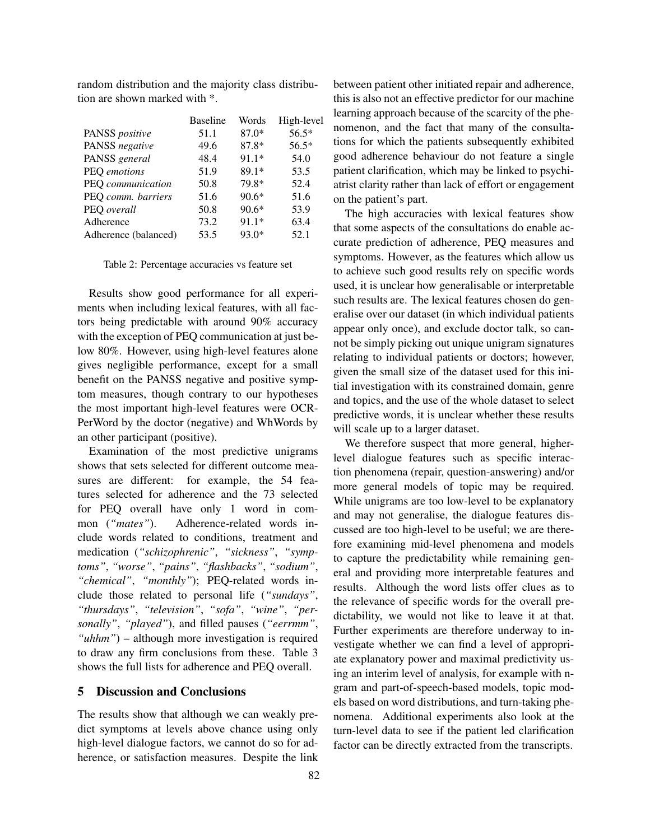random distribution and the majority class distribution are shown marked with \*.

|                      | <b>Baseline</b> | Words   | High-level |
|----------------------|-----------------|---------|------------|
| PANSS positive       | 51.1            | $87.0*$ | 56.5*      |
| PANSS negative       | 49.6            | 87.8*   | $56.5*$    |
| PANSS general        | 48.4            | $91.1*$ | 54.0       |
| PEQ emotions         | 51.9            | $89.1*$ | 53.5       |
| PEQ communication    | 50.8            | 79.8*   | 52.4       |
| PEQ comm. barriers   | 51.6            | $90.6*$ | 51.6       |
| PEQ overall          | 50.8            | $90.6*$ | 53.9       |
| Adherence            | 73.2            | $91.1*$ | 63.4       |
| Adherence (balanced) | 53.5            | $93.0*$ | 52.1       |

Table 2: Percentage accuracies vs feature set

Results show good performance for all experiments when including lexical features, with all factors being predictable with around 90% accuracy with the exception of PEQ communication at just below 80%. However, using high-level features alone gives negligible performance, except for a small benefit on the PANSS negative and positive symptom measures, though contrary to our hypotheses the most important high-level features were OCR-PerWord by the doctor (negative) and WhWords by an other participant (positive).

Examination of the most predictive unigrams shows that sets selected for different outcome measures are different: for example, the 54 features selected for adherence and the 73 selected for PEQ overall have only 1 word in common (*"mates"*). Adherence-related words include words related to conditions, treatment and medication (*"schizophrenic"*, *"sickness"*, *"symptoms"*, *"worse"*, *"pains"*, *"flashbacks"*, *"sodium"*, *"chemical"*, *"monthly"*); PEQ-related words include those related to personal life (*"sundays"*, *"thursdays"*, *"television"*, *"sofa"*, *"wine"*, *"personally"*, *"played"*), and filled pauses (*"eerrmm"*, *"uhhm"*) – although more investigation is required to draw any firm conclusions from these. Table 3 shows the full lists for adherence and PEQ overall.

#### 5 Discussion and Conclusions

The results show that although we can weakly predict symptoms at levels above chance using only high-level dialogue factors, we cannot do so for adherence, or satisfaction measures. Despite the link between patient other initiated repair and adherence, this is also not an effective predictor for our machine learning approach because of the scarcity of the phenomenon, and the fact that many of the consultations for which the patients subsequently exhibited good adherence behaviour do not feature a single patient clarification, which may be linked to psychiatrist clarity rather than lack of effort or engagement on the patient's part.

The high accuracies with lexical features show that some aspects of the consultations do enable accurate prediction of adherence, PEQ measures and symptoms. However, as the features which allow us to achieve such good results rely on specific words used, it is unclear how generalisable or interpretable such results are. The lexical features chosen do generalise over our dataset (in which individual patients appear only once), and exclude doctor talk, so cannot be simply picking out unique unigram signatures relating to individual patients or doctors; however, given the small size of the dataset used for this initial investigation with its constrained domain, genre and topics, and the use of the whole dataset to select predictive words, it is unclear whether these results will scale up to a larger dataset.

We therefore suspect that more general, higherlevel dialogue features such as specific interaction phenomena (repair, question-answering) and/or more general models of topic may be required. While unigrams are too low-level to be explanatory and may not generalise, the dialogue features discussed are too high-level to be useful; we are therefore examining mid-level phenomena and models to capture the predictability while remaining general and providing more interpretable features and results. Although the word lists offer clues as to the relevance of specific words for the overall predictability, we would not like to leave it at that. Further experiments are therefore underway to investigate whether we can find a level of appropriate explanatory power and maximal predictivity using an interim level of analysis, for example with ngram and part-of-speech-based models, topic models based on word distributions, and turn-taking phenomena. Additional experiments also look at the turn-level data to see if the patient led clarification factor can be directly extracted from the transcripts.